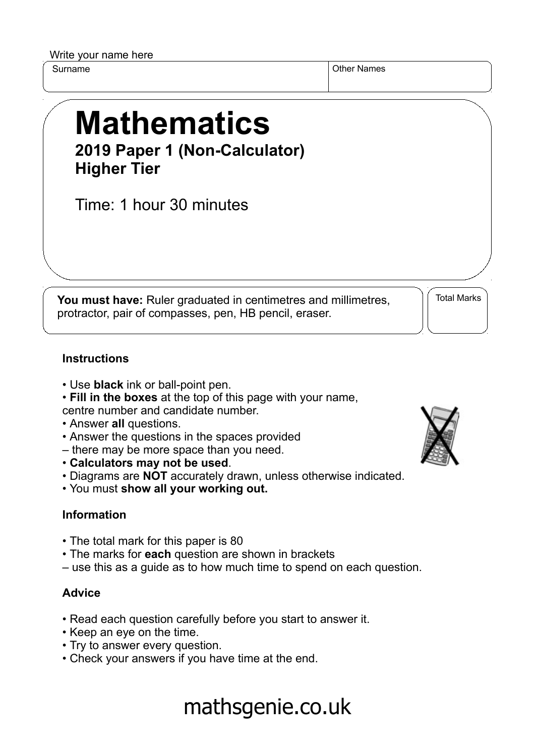Write your name here

Surname Other Names of the Surname Other Names of the Surname of the Surname Other Names of the Names of the Names of the Names of the Names of the Names of the Names of the Names of the Names of the Names of the Names of

# **Mathematics 2019 Paper 1 (Non-Calculator) Higher Tier**

Time: 1 hour 30 minutes

**You must have:** Ruler graduated in centimetres and millimetres, protractor, pair of compasses, pen, HB pencil, eraser.

Total Marks

### **Instructions**

- Use **black** ink or ball-point pen.
- **Fill in the boxes** at the top of this page with your name,
- centre number and candidate number.
- Answer **all** questions.
- Answer the questions in the spaces provided
- there may be more space than you need.
- **Calculators may not be used**.
- Diagrams are **NOT** accurately drawn, unless otherwise indicated.
- You must **show all your working out.**

### **Information**

- The total mark for this paper is 80
- The marks for **each** question are shown in brackets
- use this as a guide as to how much time to spend on each question.

### **Advice**

- Read each question carefully before you start to answer it.
- Keep an eye on the time.
- Try to answer every question.
- Check your answers if you have time at the end.



# mathsgenie.co.uk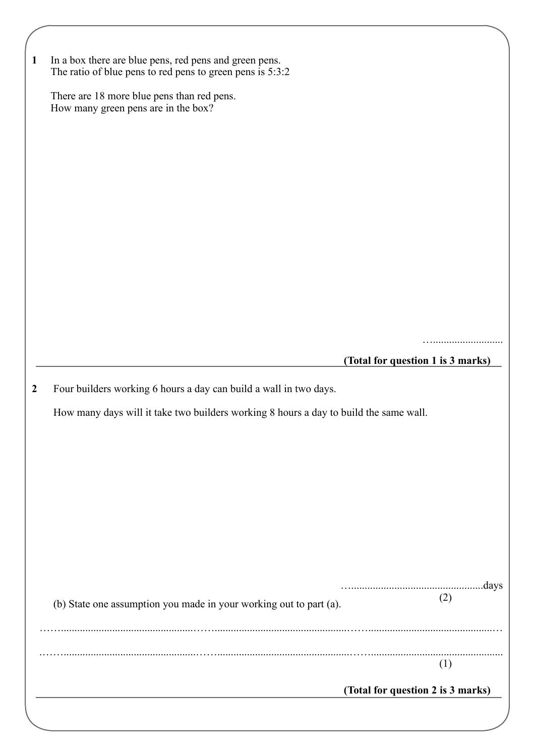| $\mathbf{1}$     | In a box there are blue pens, red pens and green pens.<br>The ratio of blue pens to red pens to green pens is 5:3:2                                        |                                   |     |
|------------------|------------------------------------------------------------------------------------------------------------------------------------------------------------|-----------------------------------|-----|
|                  | There are 18 more blue pens than red pens.<br>How many green pens are in the box?                                                                          |                                   |     |
|                  |                                                                                                                                                            |                                   |     |
|                  |                                                                                                                                                            |                                   |     |
|                  |                                                                                                                                                            |                                   |     |
|                  |                                                                                                                                                            |                                   |     |
|                  |                                                                                                                                                            |                                   |     |
|                  |                                                                                                                                                            |                                   |     |
|                  |                                                                                                                                                            |                                   |     |
|                  |                                                                                                                                                            | (Total for question 1 is 3 marks) |     |
|                  |                                                                                                                                                            |                                   |     |
| $\boldsymbol{2}$ | Four builders working 6 hours a day can build a wall in two days.<br>How many days will it take two builders working 8 hours a day to build the same wall. |                                   |     |
|                  |                                                                                                                                                            |                                   |     |
|                  |                                                                                                                                                            |                                   |     |
|                  |                                                                                                                                                            |                                   |     |
|                  |                                                                                                                                                            |                                   |     |
|                  |                                                                                                                                                            |                                   |     |
|                  |                                                                                                                                                            |                                   |     |
|                  | (b) State one assumption you made in your working out to part (a).                                                                                         |                                   | (2) |
|                  |                                                                                                                                                            |                                   |     |
|                  |                                                                                                                                                            |                                   | (1) |
|                  |                                                                                                                                                            | (Total for question 2 is 3 marks) |     |
|                  |                                                                                                                                                            |                                   |     |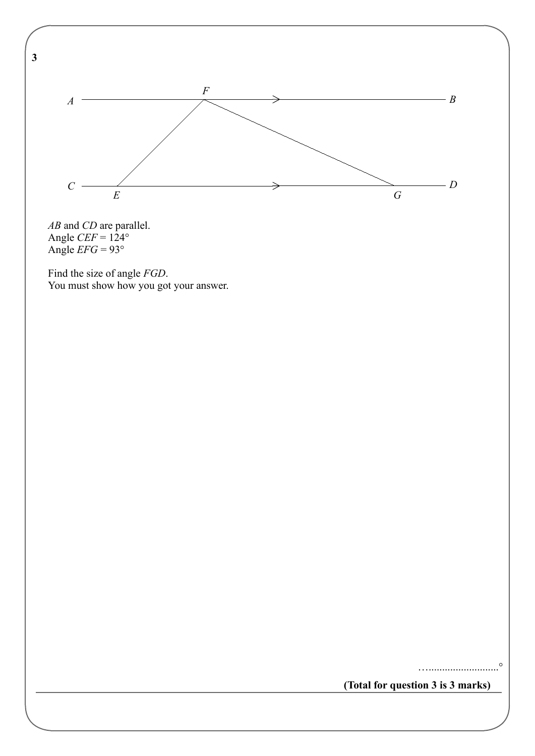

 *AB* and *CD* are parallel. Angle  $CEF = 124^{\circ}$ Angle  $EFG = 93^\circ$ 

 Find the size of angle *FGD*. You must show how you got your answer.

**(Total for question 3 is 3 marks)**

…..........................°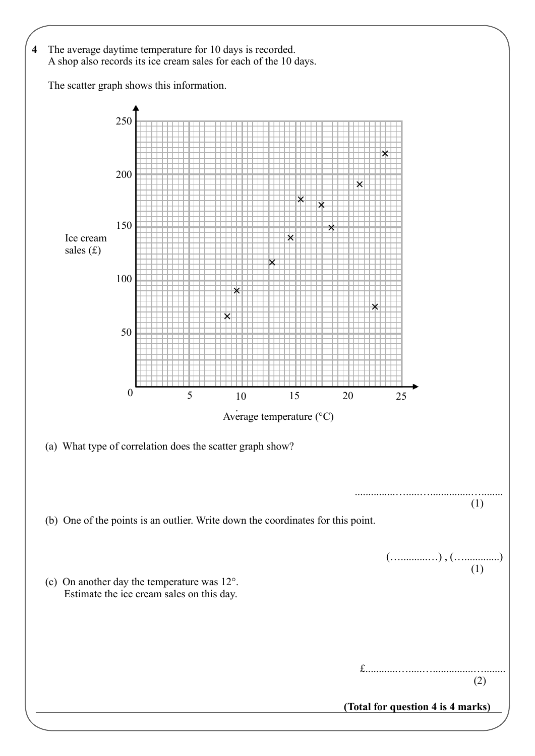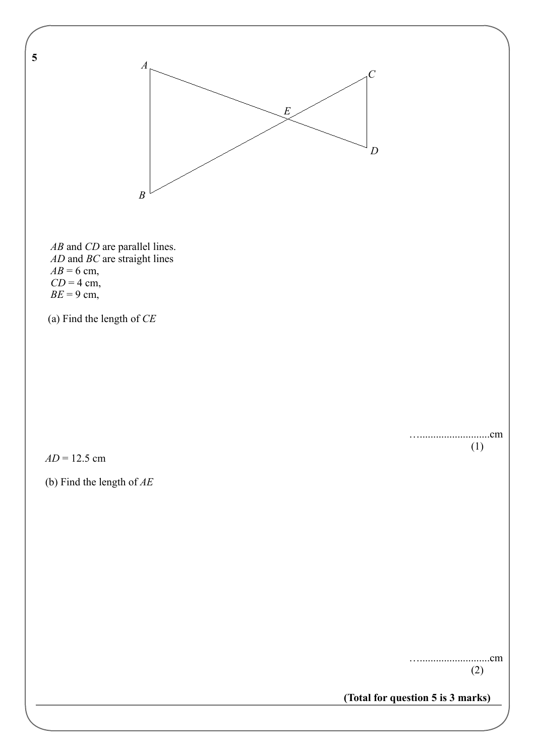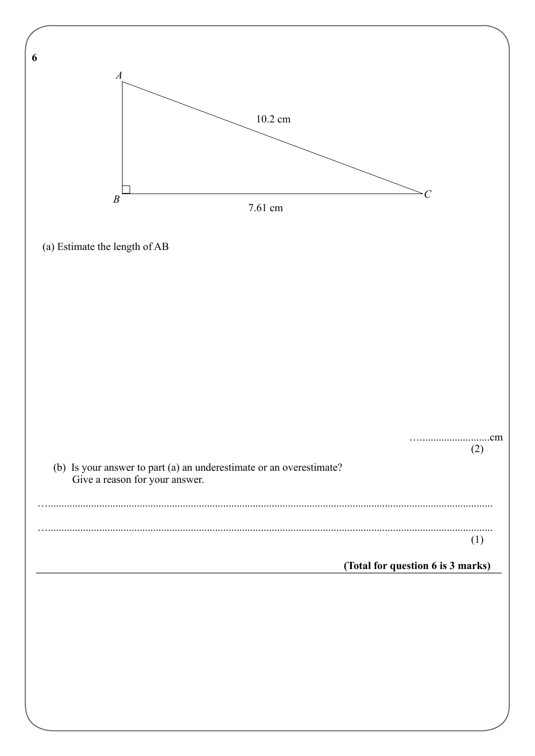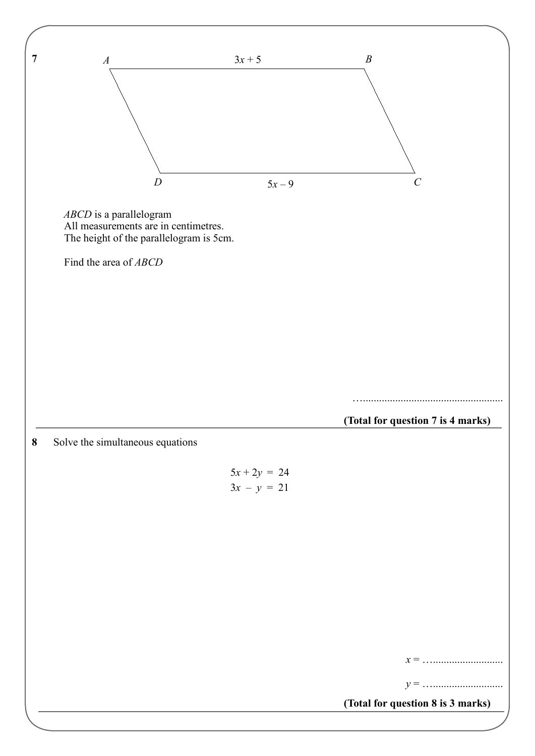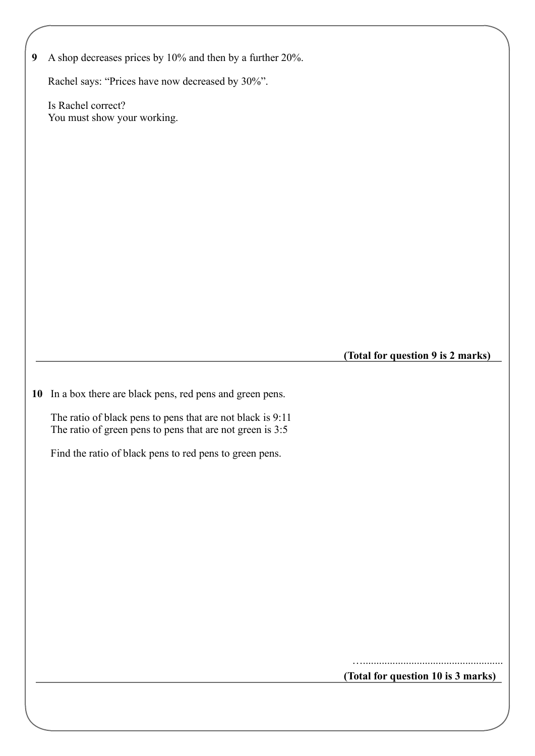**9** A shop decreases prices by 10% and then by a further 20%.

Rachel says: "Prices have now decreased by 30%".

 Is Rachel correct? You must show your working.

**(Total for question 9 is 2 marks)**

**10** In a box there are black pens, red pens and green pens.

 The ratio of black pens to pens that are not black is 9:11 The ratio of green pens to pens that are not green is 3:5

Find the ratio of black pens to red pens to green pens.

….................................................... **(Total for question 10 is 3 marks)**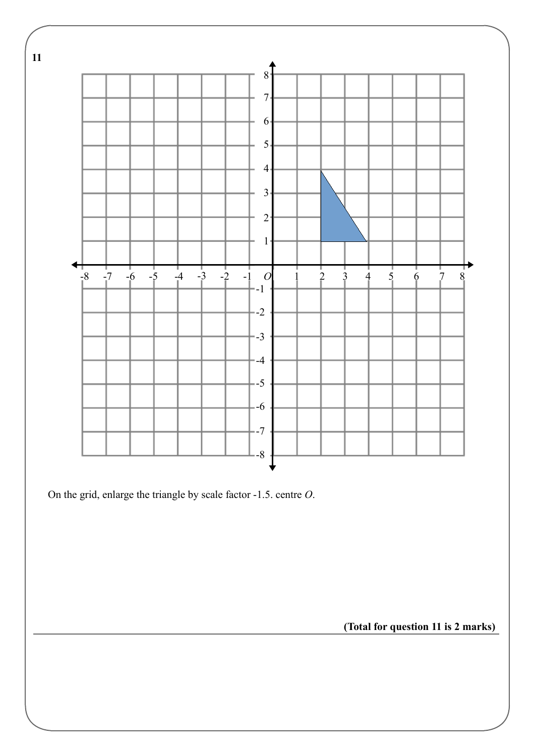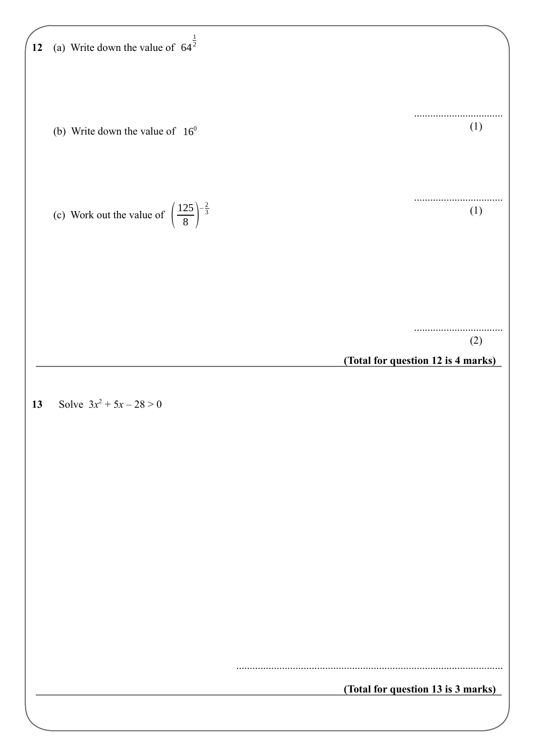(a) Write down the value of 
$$
64^{\frac{1}{2}}
$$

\n(b) Write down the value of  $16^{\frac{1}{9}}$ 

\n(c) Work out the value of  $\left(\frac{125}{8}\right)^{\frac{5}{2}}$ 

\n(d) What out the value of  $\left(\frac{125}{8}\right)^{\frac{5}{2}}$ 

\n(e) Work out the value of  $\left(\frac{125}{8}\right)^{\frac{5}{2}}$ 

\n(fotal for question 12 is 4 marks)

\n(Total for question 13 is 3 marks)

\n(Total for question 13 is 3 marks)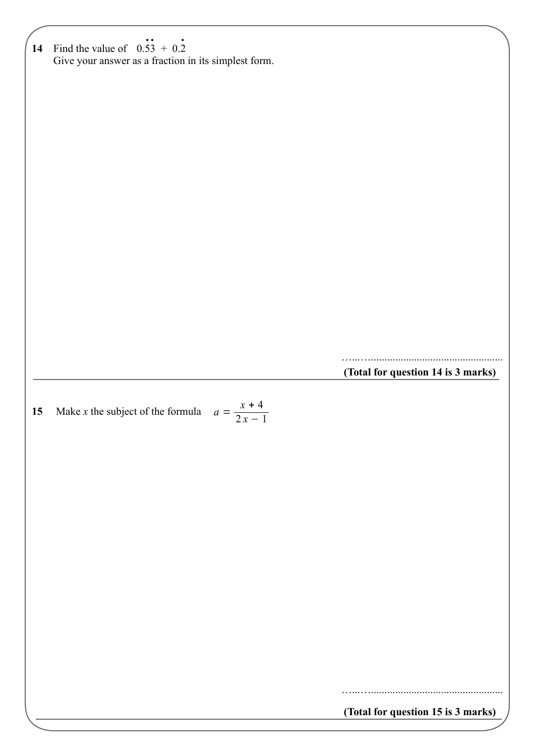**14** Find the value of 0.53 + 0.2 Give your answer as a fraction in its simplest form. **(Total for question 14 is 3 marks)** .. . **15** Make *x* the subject of the formula  $a = \frac{x+4}{2x}$ **(Total for question 15 is 3 marks)** …...…................................................. …...….................................................  $2x - 1$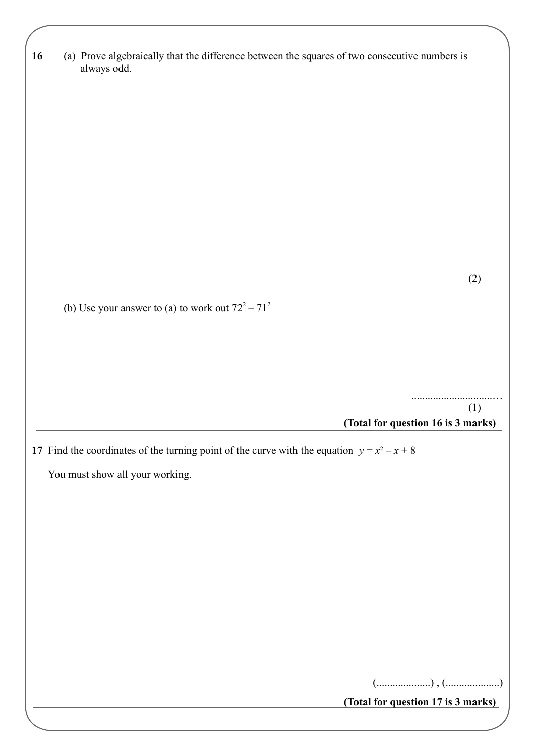| 16 | (a) Prove algebraically that the difference between the squares of two consecutive numbers is |
|----|-----------------------------------------------------------------------------------------------|
|    | always odd.                                                                                   |

(2)

(b) Use your answer to (a) to work out  $72^2 - 71^2$ 

 ..............................… (1)

**(Total for question 16 is 3 marks)**

**17** Find the coordinates of the turning point of the curve with the equation  $y = x^2 - x + 8$ 

You must show all your working.

(....................) , (....................)

**(Total for question 17 is 3 marks)**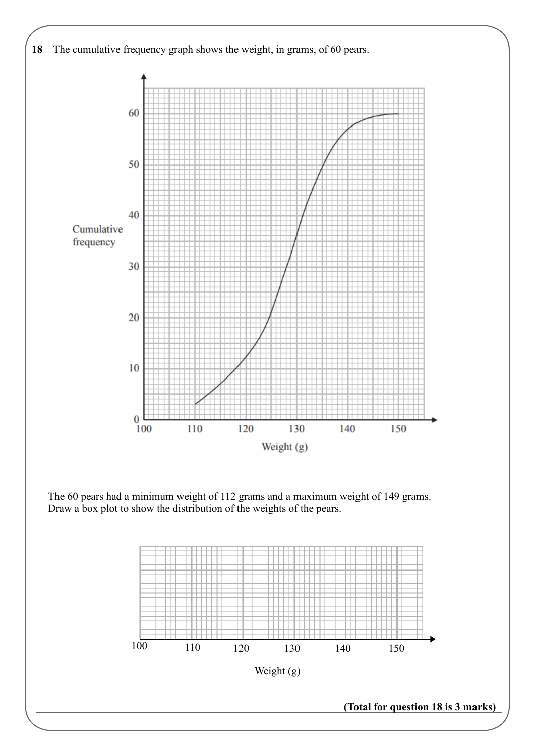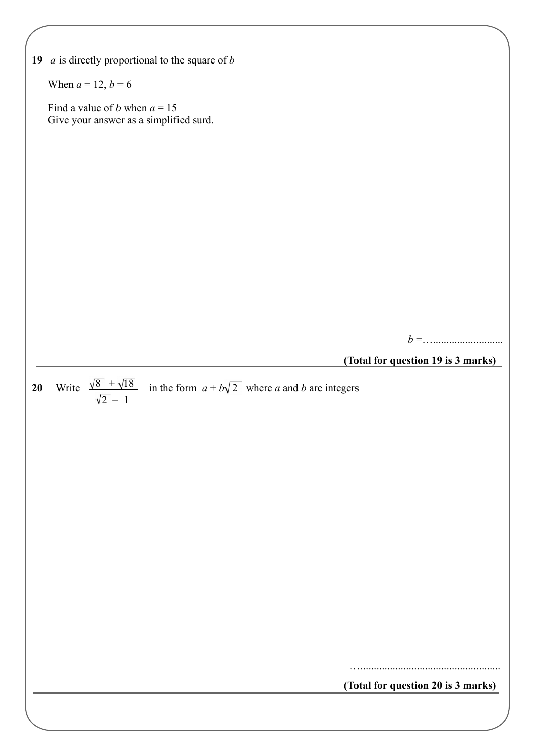|    | 19 $a$ is directly proportional to the square of $b$                                                     |
|----|----------------------------------------------------------------------------------------------------------|
|    | When $a = 12, b = 6$                                                                                     |
|    | Find a value of <i>b</i> when $a = 15$<br>Give your answer as a simplified surd.                         |
|    |                                                                                                          |
|    |                                                                                                          |
|    |                                                                                                          |
|    |                                                                                                          |
|    |                                                                                                          |
|    |                                                                                                          |
|    |                                                                                                          |
|    |                                                                                                          |
|    | (Total for question 19 is 3 marks)                                                                       |
|    |                                                                                                          |
| 20 | Write $\frac{\sqrt{8} + \sqrt{18}}{\sqrt{2} - 1}$ in the form $a + b\sqrt{2}$ where a and b are integers |
|    |                                                                                                          |
|    |                                                                                                          |
|    |                                                                                                          |
|    |                                                                                                          |
|    |                                                                                                          |
|    |                                                                                                          |
|    |                                                                                                          |
|    |                                                                                                          |
|    |                                                                                                          |
|    |                                                                                                          |
|    | (Total for question 20 is 3 marks)                                                                       |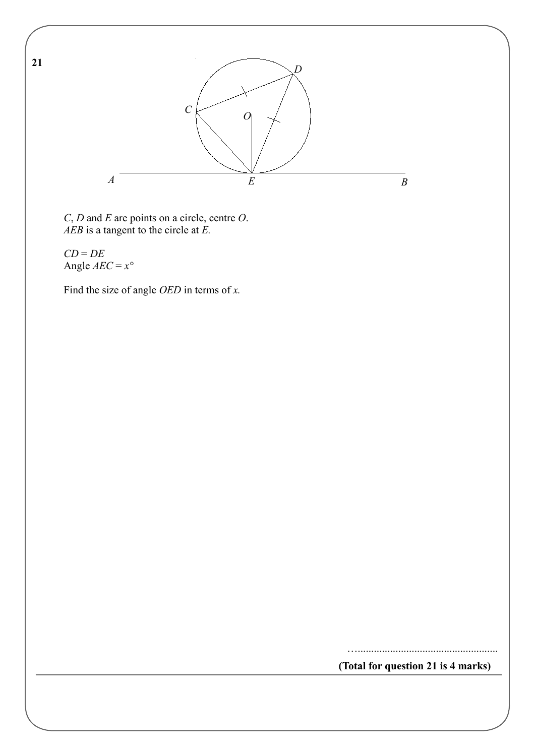

*C*, *D* and *E* are points on a circle, centre *O*. *AEB* is a tangent to the circle at *E.*

*CD* = *DE* Angle *AEC* = *x°*

Find the size of angle *OED* in terms of *x.*

**(Total for question 21 is 4 marks)**

…....................................................

**21**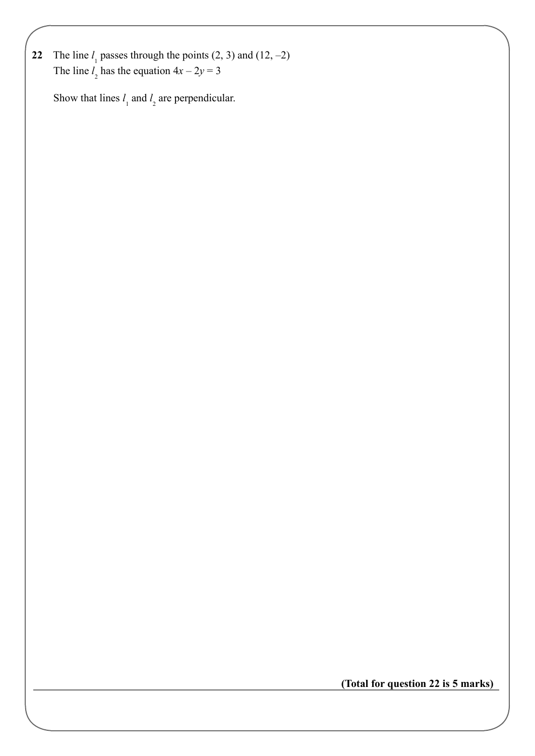**22** The line  $l_1$  passes through the points  $(2, 3)$  and  $(12, -2)$ The line  $l_2$  has the equation  $4x - 2y = 3$ 

Show that lines  $l_1$  and  $l_2$  are perpendicular.

**(Total for question 22 is 5 marks)**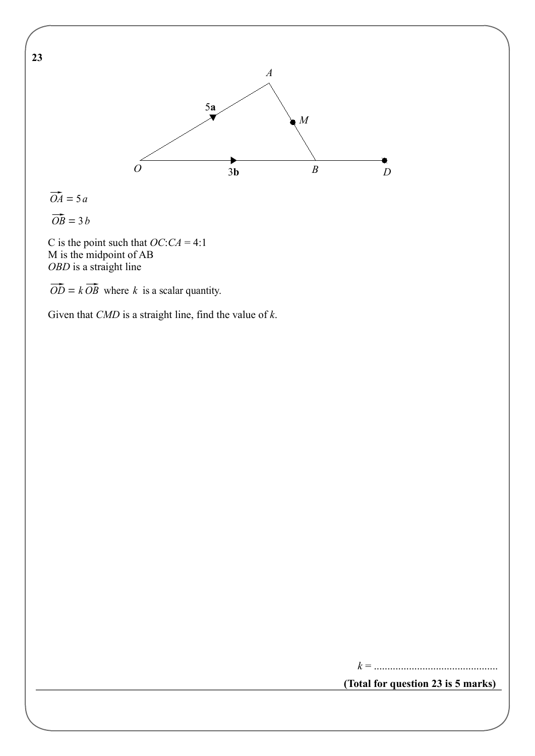

 $\overrightarrow{OA} = 5a$ 

**23** 

 $\overrightarrow{OB} = 3 b$ 

 C is the point such that *OC*:*CA* = 4:1 M is the midpoint of AB *OBD* is a straight line

 $\overrightarrow{OD} = k \overrightarrow{OB}$  where *k* is a scalar quantity.

Given that *CMD* is a straight line, find the value of *k*.

*k* = ..............................................

**(Total for question 23 is 5 marks)**